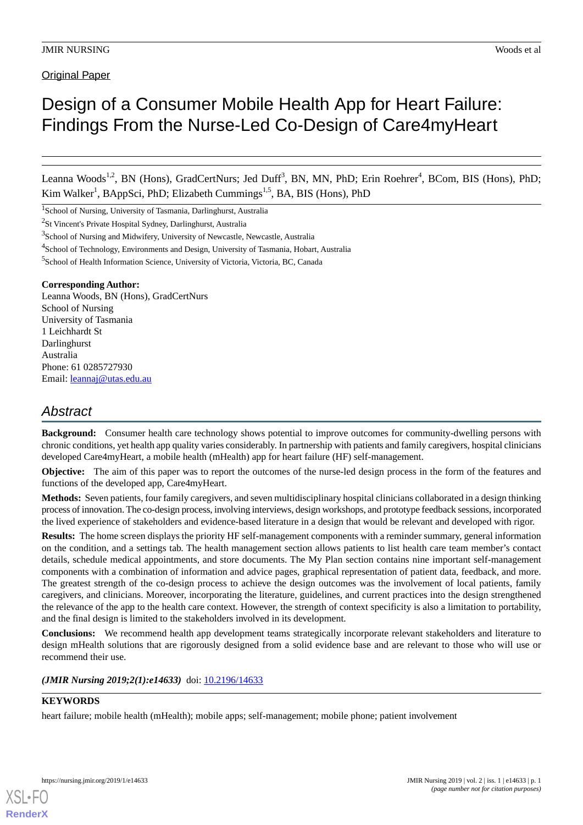**Original Paper** 

# Design of a Consumer Mobile Health App for Heart Failure: Findings From the Nurse-Led Co-Design of Care4myHeart

Leanna Woods<sup>1,2</sup>, BN (Hons), GradCertNurs; Jed Duff<sup>3</sup>, BN, MN, PhD; Erin Roehrer<sup>4</sup>, BCom, BIS (Hons), PhD; Kim Walker<sup>1</sup>, BAppSci, PhD; Elizabeth Cummings<sup>1,5</sup>, BA, BIS (Hons), PhD

<sup>1</sup>School of Nursing, University of Tasmania, Darlinghurst, Australia

<sup>2</sup>St Vincent's Private Hospital Sydney, Darlinghurst, Australia

#### **Corresponding Author:**

Leanna Woods, BN (Hons), GradCertNurs School of Nursing University of Tasmania 1 Leichhardt St Darlinghurst Australia Phone: 61 0285727930 Email: [leannaj@utas.edu.au](mailto:leannaj@utas.edu.au)

## *Abstract*

**Background:** Consumer health care technology shows potential to improve outcomes for community-dwelling persons with chronic conditions, yet health app quality varies considerably. In partnership with patients and family caregivers, hospital clinicians developed Care4myHeart, a mobile health (mHealth) app for heart failure (HF) self-management.

**Objective:** The aim of this paper was to report the outcomes of the nurse-led design process in the form of the features and functions of the developed app, Care4myHeart.

**Methods:** Seven patients, four family caregivers, and seven multidisciplinary hospital clinicians collaborated in a design thinking process of innovation. The co-design process, involving interviews, design workshops, and prototype feedback sessions, incorporated the lived experience of stakeholders and evidence-based literature in a design that would be relevant and developed with rigor.

**Results:** The home screen displays the priority HF self-management components with a reminder summary, general information on the condition, and a settings tab. The health management section allows patients to list health care team member's contact details, schedule medical appointments, and store documents. The My Plan section contains nine important self-management components with a combination of information and advice pages, graphical representation of patient data, feedback, and more. The greatest strength of the co-design process to achieve the design outcomes was the involvement of local patients, family caregivers, and clinicians. Moreover, incorporating the literature, guidelines, and current practices into the design strengthened the relevance of the app to the health care context. However, the strength of context specificity is also a limitation to portability, and the final design is limited to the stakeholders involved in its development.

**Conclusions:** We recommend health app development teams strategically incorporate relevant stakeholders and literature to design mHealth solutions that are rigorously designed from a solid evidence base and are relevant to those who will use or recommend their use.

*(JMIR Nursing 2019;2(1):e14633)* doi: [10.2196/14633](http://dx.doi.org/10.2196/14633)

#### **KEYWORDS**

[XSL](http://www.w3.org/Style/XSL)•FO **[RenderX](http://www.renderx.com/)**

heart failure; mobile health (mHealth); mobile apps; self-management; mobile phone; patient involvement

<sup>&</sup>lt;sup>3</sup>School of Nursing and Midwifery, University of Newcastle, Newcastle, Australia

<sup>&</sup>lt;sup>4</sup>School of Technology, Environments and Design, University of Tasmania, Hobart, Australia

<sup>5</sup> School of Health Information Science, University of Victoria, Victoria, BC, Canada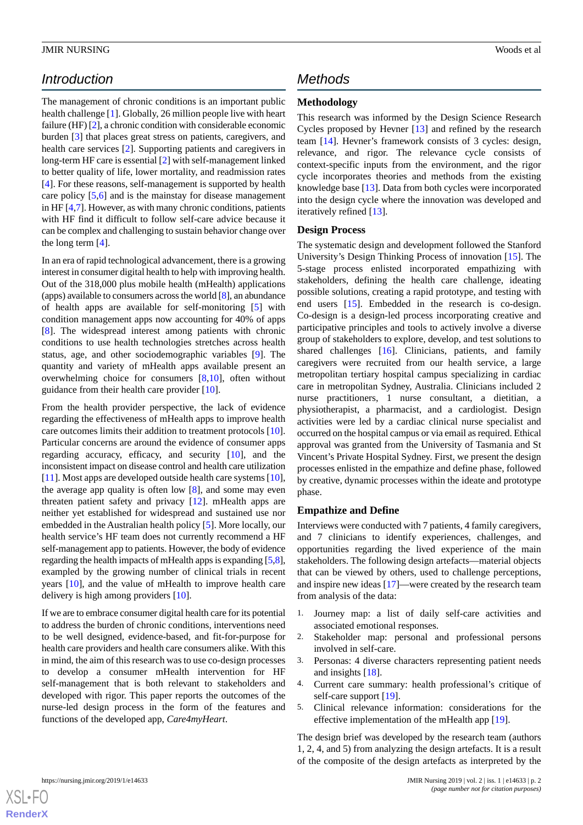## *Introduction*

The management of chronic conditions is an important public health challenge [\[1\]](#page-10-0). Globally, 26 million people live with heart failure (HF) [\[2\]](#page-10-1), a chronic condition with considerable economic burden [\[3](#page-10-2)] that places great stress on patients, caregivers, and health care services [[2\]](#page-10-1). Supporting patients and caregivers in long-term HF care is essential [[2\]](#page-10-1) with self-management linked to better quality of life, lower mortality, and readmission rates [[4\]](#page-10-3). For these reasons, self-management is supported by health care policy [\[5](#page-10-4),[6\]](#page-10-5) and is the mainstay for disease management in HF [\[4](#page-10-3),[7](#page-10-6)]. However, as with many chronic conditions, patients with HF find it difficult to follow self-care advice because it can be complex and challenging to sustain behavior change over the long term [[4\]](#page-10-3).

In an era of rapid technological advancement, there is a growing interest in consumer digital health to help with improving health. Out of the 318,000 plus mobile health (mHealth) applications (apps) available to consumers across the world [\[8](#page-10-7)], an abundance of health apps are available for self-monitoring [[5\]](#page-10-4) with condition management apps now accounting for 40% of apps [[8\]](#page-10-7). The widespread interest among patients with chronic conditions to use health technologies stretches across health status, age, and other sociodemographic variables [[9\]](#page-10-8). The quantity and variety of mHealth apps available present an overwhelming choice for consumers [\[8](#page-10-7),[10\]](#page-10-9), often without guidance from their health care provider [[10\]](#page-10-9).

From the health provider perspective, the lack of evidence regarding the effectiveness of mHealth apps to improve health care outcomes limits their addition to treatment protocols [[10\]](#page-10-9). Particular concerns are around the evidence of consumer apps regarding accuracy, efficacy, and security [\[10](#page-10-9)], and the inconsistent impact on disease control and health care utilization [[11\]](#page-10-10). Most apps are developed outside health care systems [[10\]](#page-10-9), the average app quality is often low [\[8](#page-10-7)], and some may even threaten patient safety and privacy [[12\]](#page-10-11). mHealth apps are neither yet established for widespread and sustained use nor embedded in the Australian health policy [\[5](#page-10-4)]. More locally, our health service's HF team does not currently recommend a HF self-management app to patients. However, the body of evidence regarding the health impacts of mHealth apps is expanding [[5,](#page-10-4)[8\]](#page-10-7), exampled by the growing number of clinical trials in recent years [[10\]](#page-10-9), and the value of mHealth to improve health care delivery is high among providers [\[10](#page-10-9)].

If we are to embrace consumer digital health care for its potential to address the burden of chronic conditions, interventions need to be well designed, evidence-based, and fit-for-purpose for health care providers and health care consumers alike. With this in mind, the aim of this research was to use co-design processes to develop a consumer mHealth intervention for HF self-management that is both relevant to stakeholders and developed with rigor. This paper reports the outcomes of the nurse-led design process in the form of the features and functions of the developed app, *Care4myHeart*.

## *Methods*

### **Methodology**

This research was informed by the Design Science Research Cycles proposed by Hevner [[13\]](#page-10-12) and refined by the research team [\[14](#page-10-13)]. Hevner's framework consists of 3 cycles: design, relevance, and rigor. The relevance cycle consists of context-specific inputs from the environment, and the rigor cycle incorporates theories and methods from the existing knowledge base [[13\]](#page-10-12). Data from both cycles were incorporated into the design cycle where the innovation was developed and iteratively refined [\[13](#page-10-12)].

#### **Design Process**

The systematic design and development followed the Stanford University's Design Thinking Process of innovation [[15\]](#page-10-14). The 5-stage process enlisted incorporated empathizing with stakeholders, defining the health care challenge, ideating possible solutions, creating a rapid prototype, and testing with end users [[15\]](#page-10-14). Embedded in the research is co-design. Co-design is a design-led process incorporating creative and participative principles and tools to actively involve a diverse group of stakeholders to explore, develop, and test solutions to shared challenges [\[16](#page-10-15)]. Clinicians, patients, and family caregivers were recruited from our health service, a large metropolitan tertiary hospital campus specializing in cardiac care in metropolitan Sydney, Australia. Clinicians included 2 nurse practitioners, 1 nurse consultant, a dietitian, a physiotherapist, a pharmacist, and a cardiologist. Design activities were led by a cardiac clinical nurse specialist and occurred on the hospital campus or via email as required. Ethical approval was granted from the University of Tasmania and St Vincent's Private Hospital Sydney. First, we present the design processes enlisted in the empathize and define phase, followed by creative, dynamic processes within the ideate and prototype phase.

#### **Empathize and Define**

Interviews were conducted with 7 patients, 4 family caregivers, and 7 clinicians to identify experiences, challenges, and opportunities regarding the lived experience of the main stakeholders. The following design artefacts—material objects that can be viewed by others, used to challenge perceptions, and inspire new ideas [[17\]](#page-10-16)—were created by the research team from analysis of the data:

- 1. Journey map: a list of daily self-care activities and associated emotional responses.
- 2. Stakeholder map: personal and professional persons involved in self-care.
- 3. Personas: 4 diverse characters representing patient needs and insights [\[18](#page-10-17)].
- 4. Current care summary: health professional's critique of self-care support [\[19](#page-10-18)].
- 5. Clinical relevance information: considerations for the effective implementation of the mHealth app [[19\]](#page-10-18).

The design brief was developed by the research team (authors 1, 2, 4, and 5) from analyzing the design artefacts. It is a result of the composite of the design artefacts as interpreted by the

```
XSL•FORenderX
```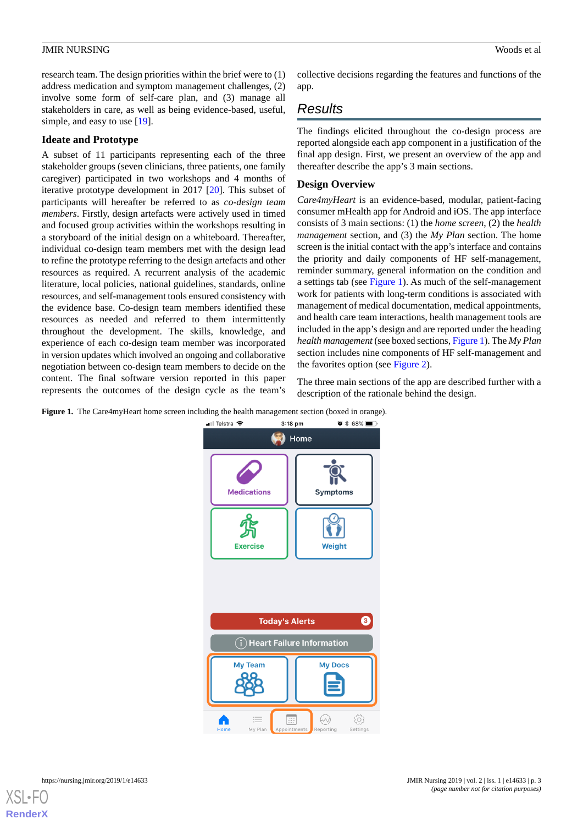research team. The design priorities within the brief were to (1) address medication and symptom management challenges, (2) involve some form of self-care plan, and (3) manage all stakeholders in care, as well as being evidence-based, useful, simple, and easy to use [[19\]](#page-10-18).

#### **Ideate and Prototype**

A subset of 11 participants representing each of the three stakeholder groups (seven clinicians, three patients, one family caregiver) participated in two workshops and 4 months of iterative prototype development in 2017 [[20\]](#page-10-19). This subset of participants will hereafter be referred to as *co-design team members*. Firstly, design artefacts were actively used in timed and focused group activities within the workshops resulting in a storyboard of the initial design on a whiteboard. Thereafter, individual co-design team members met with the design lead to refine the prototype referring to the design artefacts and other resources as required. A recurrent analysis of the academic literature, local policies, national guidelines, standards, online resources, and self-management tools ensured consistency with the evidence base. Co-design team members identified these resources as needed and referred to them intermittently throughout the development. The skills, knowledge, and experience of each co-design team member was incorporated in version updates which involved an ongoing and collaborative negotiation between co-design team members to decide on the content. The final software version reported in this paper represents the outcomes of the design cycle as the team's

collective decisions regarding the features and functions of the app.

## *Results*

The findings elicited throughout the co-design process are reported alongside each app component in a justification of the final app design. First, we present an overview of the app and thereafter describe the app's 3 main sections.

#### **Design Overview**

*Care4myHeart* is an evidence-based, modular, patient-facing consumer mHealth app for Android and iOS. The app interface consists of 3 main sections: (1) the *home screen*, (2) the *health management* section, and (3) the *My Plan* section. The home screen is the initial contact with the app's interface and contains the priority and daily components of HF self-management, reminder summary, general information on the condition and a settings tab (see [Figure 1](#page-2-0)). As much of the self-management work for patients with long-term conditions is associated with management of medical documentation, medical appointments, and health care team interactions, health management tools are included in the app's design and are reported under the heading *health management* (see boxed sections, [Figure 1\)](#page-2-0). The *My Plan* section includes nine components of HF self-management and the favorites option (see [Figure 2\)](#page-3-0).

The three main sections of the app are described further with a description of the rationale behind the design.

<span id="page-2-0"></span>

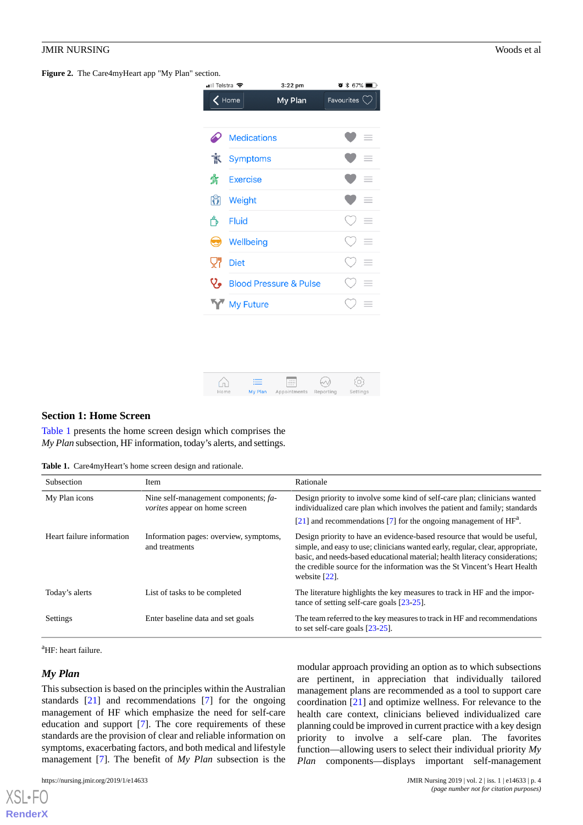<span id="page-3-0"></span>**Figure 2.** The Care4myHeart app "My Plan" section.

| <b>■Il Telstra 字</b> |                    | 3:22 pm                           | $\bullet *$ 67%         |          |
|----------------------|--------------------|-----------------------------------|-------------------------|----------|
| $\zeta$ Home         |                    | My Plan                           | Favourites $\heartsuit$ |          |
|                      |                    |                                   |                         |          |
| D                    | <b>Medications</b> |                                   |                         | $\equiv$ |
| 횫                    | <b>Symptoms</b>    |                                   |                         | $=$      |
| 货                    | <b>Exercise</b>    |                                   |                         | =        |
| $\mathbb{C}$         | Weight             |                                   |                         | ≡        |
| Ő                    | Fluid              |                                   |                         | $=$      |
| 9                    | Wellbeing          |                                   |                         | =        |
| VΪ                   | <b>Diet</b>        |                                   |                         | $=$      |
| v,                   |                    | <b>Blood Pressure &amp; Pulse</b> |                         | $\equiv$ |
|                      | <b>My Future</b>   |                                   |                         | ≡        |
|                      |                    |                                   |                         |          |



#### <span id="page-3-1"></span>**Section 1: Home Screen**

[Table 1](#page-3-1) presents the home screen design which comprises the *My Plan* subsection, HF information, today's alerts, and settings.

**Table 1.** Care4myHeart's home screen design and rationale.

| <b>Subsection</b>         | <b>Item</b>                                                                  | Rationale                                                                                                                                                                                                                                                                                                                                   |
|---------------------------|------------------------------------------------------------------------------|---------------------------------------------------------------------------------------------------------------------------------------------------------------------------------------------------------------------------------------------------------------------------------------------------------------------------------------------|
| My Plan icons             | Nine self-management components; fa-<br><i>vorites</i> appear on home screen | Design priority to involve some kind of self-care plan; clinicians wanted<br>individualized care plan which involves the patient and family; standards<br>$[21]$ and recommendations [7] for the ongoing management of $HFa$ .                                                                                                              |
| Heart failure information | Information pages: overview, symptoms,<br>and treatments                     | Design priority to have an evidence-based resource that would be useful,<br>simple, and easy to use; clinicians wanted early, regular, clear, appropriate,<br>basic, and needs-based educational material; health literacy considerations;<br>the credible source for the information was the St Vincent's Heart Health<br>website $[22]$ . |
| Today's alerts            | List of tasks to be completed                                                | The literature highlights the key measures to track in HF and the impor-<br>tance of setting self-care goals $[23-25]$ .                                                                                                                                                                                                                    |
| Settings                  | Enter baseline data and set goals                                            | The team referred to the key measures to track in HF and recommendations<br>to set self-care goals $[23-25]$ .                                                                                                                                                                                                                              |

<sup>a</sup>HF: heart failure.

#### *My Plan*

 $X$ SL•F $O$ **[RenderX](http://www.renderx.com/)**

This subsection is based on the principles within the Australian standards [[21\]](#page-10-20) and recommendations [\[7](#page-10-6)] for the ongoing management of HF which emphasize the need for self-care education and support [\[7](#page-10-6)]. The core requirements of these standards are the provision of clear and reliable information on symptoms, exacerbating factors, and both medical and lifestyle management [\[7](#page-10-6)]. The benefit of *My Plan* subsection is the

modular approach providing an option as to which subsections are pertinent, in appreciation that individually tailored management plans are recommended as a tool to support care coordination [\[21](#page-10-20)] and optimize wellness. For relevance to the health care context, clinicians believed individualized care planning could be improved in current practice with a key design priority to involve a self-care plan. The favorites function—allowing users to select their individual priority *My Plan* components—displays important self-management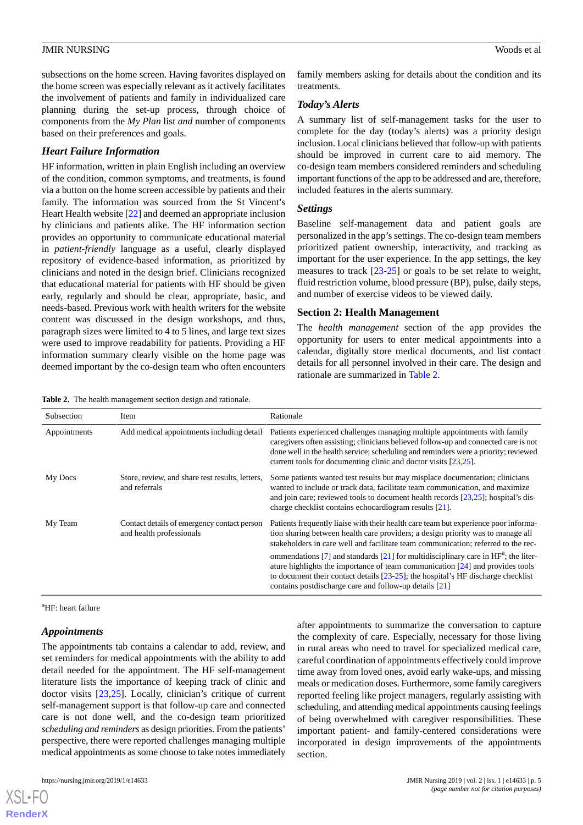subsections on the home screen. Having favorites displayed on the home screen was especially relevant as it actively facilitates the involvement of patients and family in individualized care planning during the set-up process, through choice of components from the *My Plan* list *and* number of components based on their preferences and goals.

#### *Heart Failure Information*

HF information, written in plain English including an overview of the condition, common symptoms, and treatments, is found via a button on the home screen accessible by patients and their family. The information was sourced from the St Vincent's Heart Health website [\[22](#page-10-21)] and deemed an appropriate inclusion by clinicians and patients alike. The HF information section provides an opportunity to communicate educational material in *patient-friendly* language as a useful, clearly displayed repository of evidence-based information, as prioritized by clinicians and noted in the design brief. Clinicians recognized that educational material for patients with HF should be given early, regularly and should be clear, appropriate, basic, and needs-based. Previous work with health writers for the website content was discussed in the design workshops, and thus, paragraph sizes were limited to 4 to 5 lines, and large text sizes were used to improve readability for patients. Providing a HF information summary clearly visible on the home page was deemed important by the co-design team who often encounters

<span id="page-4-0"></span>**Table 2.** The health management section design and rationale.

family members asking for details about the condition and its treatments.

#### *Today's Alerts*

A summary list of self-management tasks for the user to complete for the day (today's alerts) was a priority design inclusion. Local clinicians believed that follow-up with patients should be improved in current care to aid memory. The co-design team members considered reminders and scheduling important functions of the app to be addressed and are, therefore, included features in the alerts summary.

#### *Settings*

Baseline self-management data and patient goals are personalized in the app's settings. The co-design team members prioritized patient ownership, interactivity, and tracking as important for the user experience. In the app settings, the key measures to track [[23](#page-10-22)[-25](#page-11-0)] or goals to be set relate to weight, fluid restriction volume, blood pressure (BP), pulse, daily steps, and number of exercise videos to be viewed daily.

#### **Section 2: Health Management**

The *health management* section of the app provides the opportunity for users to enter medical appointments into a calendar, digitally store medical documents, and list contact details for all personnel involved in their care. The design and rationale are summarized in [Table 2.](#page-4-0)

| Subsection   | Item                                                                    | Rationale                                                                                                                                                                                                                                                                                                                      |
|--------------|-------------------------------------------------------------------------|--------------------------------------------------------------------------------------------------------------------------------------------------------------------------------------------------------------------------------------------------------------------------------------------------------------------------------|
| Appointments | Add medical appointments including detail                               | Patients experienced challenges managing multiple appointments with family<br>caregivers often assisting; clinicians believed follow-up and connected care is not<br>done well in the health service; scheduling and reminders were a priority; reviewed<br>current tools for documenting clinic and doctor visits $[23,25]$ . |
| My Docs      | Store, review, and share test results, letters,<br>and referrals        | Some patients wanted test results but may misplace documentation; clinicians<br>wanted to include or track data, facilitate team communication, and maximize<br>and join care; reviewed tools to document health records [23,25]; hospital's dis-<br>charge checklist contains echocardiogram results [21].                    |
| My Team      | Contact details of emergency contact person<br>and health professionals | Patients frequently liaise with their health care team but experience poor informa-<br>tion sharing between health care providers; a design priority was to manage all<br>stakeholders in care well and facilitate team communication; referred to the rec-                                                                    |
|              |                                                                         | ommendations [7] and standards [21] for multidisciplinary care in $HFa$ ; the liter-<br>ature highlights the importance of team communication [24] and provides tools<br>to document their contact details $[23-25]$ ; the hospital's HF discharge checklist<br>contains postdischarge care and follow-up details [21]         |

<sup>a</sup>HF: heart failure

#### *Appointments*

The appointments tab contains a calendar to add, review, and set reminders for medical appointments with the ability to add detail needed for the appointment. The HF self-management literature lists the importance of keeping track of clinic and doctor visits [\[23](#page-10-22),[25\]](#page-11-0). Locally, clinician's critique of current self-management support is that follow-up care and connected care is not done well, and the co-design team prioritized *scheduling and reminders* as design priorities. From the patients' perspective, there were reported challenges managing multiple medical appointments as some choose to take notes immediately

after appointments to summarize the conversation to capture the complexity of care. Especially, necessary for those living in rural areas who need to travel for specialized medical care, careful coordination of appointments effectively could improve time away from loved ones, avoid early wake-ups, and missing meals or medication doses. Furthermore, some family caregivers reported feeling like project managers, regularly assisting with scheduling, and attending medical appointments causing feelings of being overwhelmed with caregiver responsibilities. These important patient- and family-centered considerations were incorporated in design improvements of the appointments section.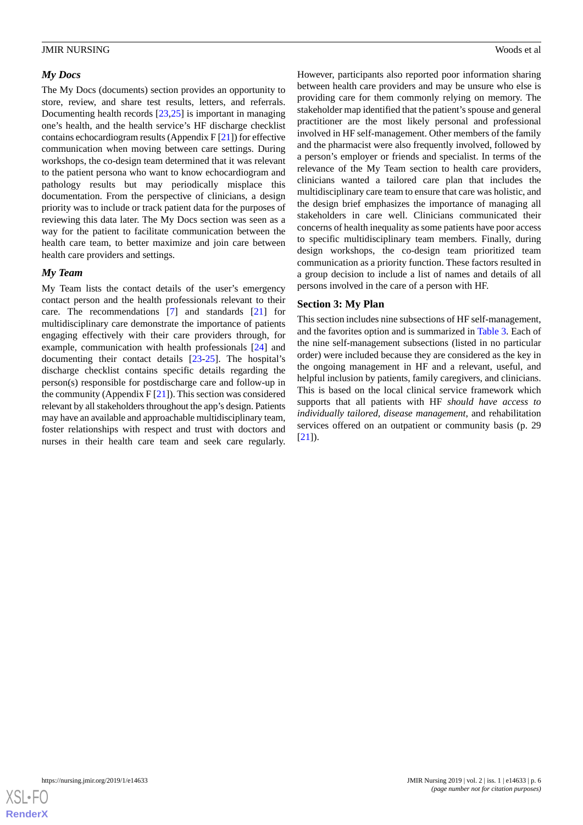#### *My Docs*

The My Docs (documents) section provides an opportunity to store, review, and share test results, letters, and referrals. Documenting health records [\[23](#page-10-22),[25\]](#page-11-0) is important in managing one's health, and the health service's HF discharge checklist contains echocardiogram results (Appendix F [[21\]](#page-10-20)) for effective communication when moving between care settings. During workshops, the co-design team determined that it was relevant to the patient persona who want to know echocardiogram and pathology results but may periodically misplace this documentation. From the perspective of clinicians, a design priority was to include or track patient data for the purposes of reviewing this data later. The My Docs section was seen as a way for the patient to facilitate communication between the health care team, to better maximize and join care between health care providers and settings.

#### *My Team*

My Team lists the contact details of the user's emergency contact person and the health professionals relevant to their care. The recommendations [[7](#page-10-6)] and standards [\[21](#page-10-20)] for multidisciplinary care demonstrate the importance of patients engaging effectively with their care providers through, for example, communication with health professionals [[24\]](#page-11-1) and documenting their contact details [\[23](#page-10-22)-[25\]](#page-11-0). The hospital's discharge checklist contains specific details regarding the person(s) responsible for postdischarge care and follow-up in the community (Appendix  $F[21]$  $F[21]$ ). This section was considered relevant by all stakeholders throughout the app's design. Patients may have an available and approachable multidisciplinary team, foster relationships with respect and trust with doctors and nurses in their health care team and seek care regularly.

However, participants also reported poor information sharing between health care providers and may be unsure who else is providing care for them commonly relying on memory. The stakeholder map identified that the patient's spouse and general practitioner are the most likely personal and professional involved in HF self-management. Other members of the family and the pharmacist were also frequently involved, followed by a person's employer or friends and specialist. In terms of the relevance of the My Team section to health care providers, clinicians wanted a tailored care plan that includes the multidisciplinary care team to ensure that care was holistic, and the design brief emphasizes the importance of managing all stakeholders in care well. Clinicians communicated their concerns of health inequality as some patients have poor access to specific multidisciplinary team members. Finally, during design workshops, the co-design team prioritized team communication as a priority function. These factors resulted in a group decision to include a list of names and details of all persons involved in the care of a person with HF.

#### **Section 3: My Plan**

This section includes nine subsections of HF self-management, and the favorites option and is summarized in [Table 3](#page-6-0). Each of the nine self-management subsections (listed in no particular order) were included because they are considered as the key in the ongoing management in HF and a relevant, useful, and helpful inclusion by patients, family caregivers, and clinicians. This is based on the local clinical service framework which supports that all patients with HF *should have access to individually tailored, disease management*, and rehabilitation services offered on an outpatient or community basis (p. 29 [[21\]](#page-10-20)).

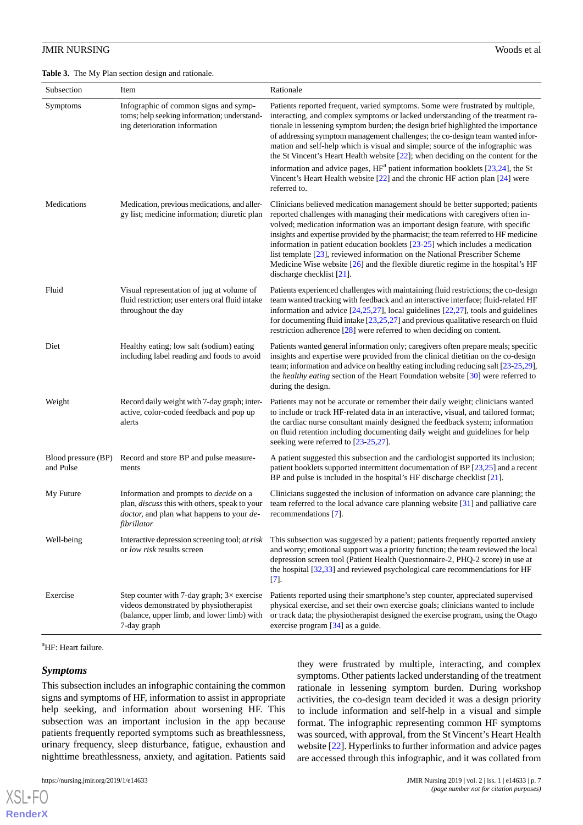<span id="page-6-0"></span>**Table 3.** The My Plan section design and rationale.

| Subsection                       | Item                                                                                                                                                       | Rationale                                                                                                                                                                                                                                                                                                                                                                                                                                                                                                                                                                                                                      |
|----------------------------------|------------------------------------------------------------------------------------------------------------------------------------------------------------|--------------------------------------------------------------------------------------------------------------------------------------------------------------------------------------------------------------------------------------------------------------------------------------------------------------------------------------------------------------------------------------------------------------------------------------------------------------------------------------------------------------------------------------------------------------------------------------------------------------------------------|
| Symptoms                         | Infographic of common signs and symp-<br>toms; help seeking information; understand-<br>ing deterioration information                                      | Patients reported frequent, varied symptoms. Some were frustrated by multiple,<br>interacting, and complex symptoms or lacked understanding of the treatment ra-<br>tionale in lessening symptom burden; the design brief highlighted the importance<br>of addressing symptom management challenges; the co-design team wanted infor-<br>mation and self-help which is visual and simple; source of the infographic was<br>the St Vincent's Heart Health website $[22]$ ; when deciding on the content for the                                                                                                                 |
|                                  |                                                                                                                                                            | information and advice pages, $HFa$ patient information booklets [23,24], the St<br>Vincent's Heart Health website [22] and the chronic HF action plan [24] were<br>referred to.                                                                                                                                                                                                                                                                                                                                                                                                                                               |
| Medications                      | Medication, previous medications, and aller-<br>gy list; medicine information; diuretic plan                                                               | Clinicians believed medication management should be better supported; patients<br>reported challenges with managing their medications with caregivers often in-<br>volved; medication information was an important design feature, with specific<br>insights and expertise provided by the pharmacist; the team referred to HF medicine<br>information in patient education booklets $[23-25]$ which includes a medication<br>list template [23], reviewed information on the National Prescriber Scheme<br>Medicine Wise website $[26]$ and the flexible diuretic regime in the hospital's HF<br>discharge checklist $[21]$ . |
| Fluid                            | Visual representation of jug at volume of<br>fluid restriction; user enters oral fluid intake<br>throughout the day                                        | Patients experienced challenges with maintaining fluid restrictions; the co-design<br>team wanted tracking with feedback and an interactive interface; fluid-related HF<br>information and advice $[24,25,27]$ , local guidelines $[22,27]$ , tools and guidelines<br>for documenting fluid intake $[23,25,27]$ and previous qualitative research on fluid<br>restriction adherence $[28]$ were referred to when deciding on content.                                                                                                                                                                                          |
| Diet                             | Healthy eating; low salt (sodium) eating<br>including label reading and foods to avoid                                                                     | Patients wanted general information only; caregivers often prepare meals; specific<br>insights and expertise were provided from the clinical dietitian on the co-design<br>team; information and advice on healthy eating including reducing salt [23-25,29],<br>the healthy eating section of the Heart Foundation website [30] were referred to<br>during the design.                                                                                                                                                                                                                                                        |
| Weight                           | Record daily weight with 7-day graph; inter-<br>active, color-coded feedback and pop up<br>alerts                                                          | Patients may not be accurate or remember their daily weight; clinicians wanted<br>to include or track HF-related data in an interactive, visual, and tailored format;<br>the cardiac nurse consultant mainly designed the feedback system; information<br>on fluid retention including documenting daily weight and guidelines for help<br>seeking were referred to [23-25,27].                                                                                                                                                                                                                                                |
| Blood pressure (BP)<br>and Pulse | Record and store BP and pulse measure-<br>ments                                                                                                            | A patient suggested this subsection and the cardiologist supported its inclusion;<br>patient booklets supported intermittent documentation of BP $[23,25]$ and a recent<br>BP and pulse is included in the hospital's HF discharge checklist $[21]$ .                                                                                                                                                                                                                                                                                                                                                                          |
| My Future                        | Information and prompts to <i>decide</i> on a<br>plan, discuss this with others, speak to your<br>doctor, and plan what happens to your de-<br>fibrillator | Clinicians suggested the inclusion of information on advance care planning; the<br>team referred to the local advance care planning website [31] and palliative care<br>recommendations [7].                                                                                                                                                                                                                                                                                                                                                                                                                                   |
| Well-being                       | Interactive depression screening tool; at risk<br>or low risk results screen                                                                               | This subsection was suggested by a patient; patients frequently reported anxiety<br>and worry; emotional support was a priority function; the team reviewed the local<br>depression screen tool (Patient Health Questionnaire-2, PHQ-2 score) in use at<br>the hospital $[32,33]$ and reviewed psychological care recommendations for HF<br>$[7]$ .                                                                                                                                                                                                                                                                            |
| Exercise                         | Step counter with 7-day graph; $3\times$ exercise<br>videos demonstrated by physiotherapist<br>(balance, upper limb, and lower limb) with<br>7-day graph   | Patients reported using their smartphone's step counter, appreciated supervised<br>physical exercise, and set their own exercise goals; clinicians wanted to include<br>or track data; the physiotherapist designed the exercise program, using the Otago<br>exercise program [34] as a guide.                                                                                                                                                                                                                                                                                                                                 |

<sup>a</sup>HF: Heart failure.

#### *Symptoms*

[XSL](http://www.w3.org/Style/XSL)•FO **[RenderX](http://www.renderx.com/)**

This subsection includes an infographic containing the common signs and symptoms of HF, information to assist in appropriate help seeking, and information about worsening HF. This subsection was an important inclusion in the app because patients frequently reported symptoms such as breathlessness, urinary frequency, sleep disturbance, fatigue, exhaustion and nighttime breathlessness, anxiety, and agitation. Patients said

they were frustrated by multiple, interacting, and complex symptoms. Other patients lacked understanding of the treatment rationale in lessening symptom burden. During workshop activities, the co-design team decided it was a design priority to include information and self-help in a visual and simple format. The infographic representing common HF symptoms was sourced, with approval, from the St Vincent's Heart Health website [[22](#page-10-21)]. Hyperlinks to further information and advice pages are accessed through this infographic, and it was collated from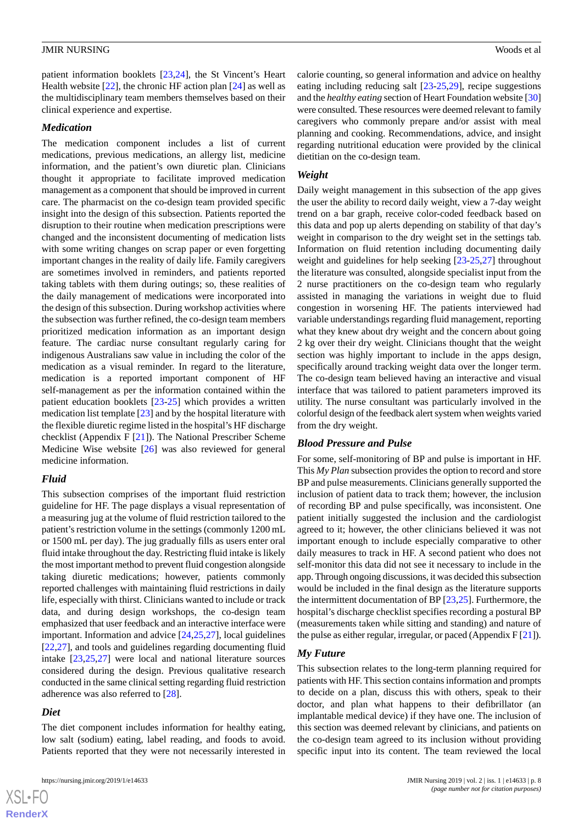patient information booklets [[23,](#page-10-22)[24](#page-11-1)], the St Vincent's Heart Health website [[22\]](#page-10-21), the chronic HF action plan [[24\]](#page-11-1) as well as the multidisciplinary team members themselves based on their clinical experience and expertise.

#### *Medication*

The medication component includes a list of current medications, previous medications, an allergy list, medicine information, and the patient's own diuretic plan. Clinicians thought it appropriate to facilitate improved medication management as a component that should be improved in current care. The pharmacist on the co-design team provided specific insight into the design of this subsection. Patients reported the disruption to their routine when medication prescriptions were changed and the inconsistent documenting of medication lists with some writing changes on scrap paper or even forgetting important changes in the reality of daily life. Family caregivers are sometimes involved in reminders, and patients reported taking tablets with them during outings; so, these realities of the daily management of medications were incorporated into the design of this subsection. During workshop activities where the subsection was further refined, the co-design team members prioritized medication information as an important design feature. The cardiac nurse consultant regularly caring for indigenous Australians saw value in including the color of the medication as a visual reminder. In regard to the literature, medication is a reported important component of HF self-management as per the information contained within the patient education booklets [[23-](#page-10-22)[25](#page-11-0)] which provides a written medication list template [\[23](#page-10-22)] and by the hospital literature with the flexible diuretic regime listed in the hospital's HF discharge checklist (Appendix F [[21\]](#page-10-20)). The National Prescriber Scheme Medicine Wise website [\[26](#page-11-2)] was also reviewed for general medicine information.

#### *Fluid*

This subsection comprises of the important fluid restriction guideline for HF. The page displays a visual representation of a measuring jug at the volume of fluid restriction tailored to the patient's restriction volume in the settings (commonly 1200 mL or 1500 mL per day). The jug gradually fills as users enter oral fluid intake throughout the day. Restricting fluid intake is likely the most important method to prevent fluid congestion alongside taking diuretic medications; however, patients commonly reported challenges with maintaining fluid restrictions in daily life, especially with thirst. Clinicians wanted to include or track data, and during design workshops, the co-design team emphasized that user feedback and an interactive interface were important. Information and advice [\[24](#page-11-1),[25](#page-11-0)[,27](#page-11-3)], local guidelines [[22](#page-10-21)[,27](#page-11-3)], and tools and guidelines regarding documenting fluid intake [[23,](#page-10-22)[25](#page-11-0),[27\]](#page-11-3) were local and national literature sources considered during the design. Previous qualitative research conducted in the same clinical setting regarding fluid restriction adherence was also referred to [[28\]](#page-11-4).

#### *Diet*

The diet component includes information for healthy eating, low salt (sodium) eating, label reading, and foods to avoid. Patients reported that they were not necessarily interested in calorie counting, so general information and advice on healthy eating including reducing salt [[23-](#page-10-22)[25](#page-11-0)[,29](#page-11-5)], recipe suggestions and the *healthy eating* section of Heart Foundation website [\[30](#page-11-6)] were consulted. These resources were deemed relevant to family caregivers who commonly prepare and/or assist with meal planning and cooking. Recommendations, advice, and insight regarding nutritional education were provided by the clinical dietitian on the co-design team.

#### *Weight*

Daily weight management in this subsection of the app gives the user the ability to record daily weight, view a 7-day weight trend on a bar graph, receive color-coded feedback based on this data and pop up alerts depending on stability of that day's weight in comparison to the dry weight set in the settings tab. Information on fluid retention including documenting daily weight and guidelines for help seeking [[23-](#page-10-22)[25](#page-11-0),[27\]](#page-11-3) throughout the literature was consulted, alongside specialist input from the 2 nurse practitioners on the co-design team who regularly assisted in managing the variations in weight due to fluid congestion in worsening HF. The patients interviewed had variable understandings regarding fluid management, reporting what they knew about dry weight and the concern about going 2 kg over their dry weight. Clinicians thought that the weight section was highly important to include in the apps design, specifically around tracking weight data over the longer term. The co-design team believed having an interactive and visual interface that was tailored to patient parameters improved its utility. The nurse consultant was particularly involved in the colorful design of the feedback alert system when weights varied from the dry weight.

#### *Blood Pressure and Pulse*

For some, self-monitoring of BP and pulse is important in HF. This *My Plan* subsection provides the option to record and store BP and pulse measurements. Clinicians generally supported the inclusion of patient data to track them; however, the inclusion of recording BP and pulse specifically, was inconsistent. One patient initially suggested the inclusion and the cardiologist agreed to it; however, the other clinicians believed it was not important enough to include especially comparative to other daily measures to track in HF. A second patient who does not self-monitor this data did not see it necessary to include in the app. Through ongoing discussions, it was decided this subsection would be included in the final design as the literature supports the intermittent documentation of BP  $[23,25]$  $[23,25]$  $[23,25]$  $[23,25]$ . Furthermore, the hospital's discharge checklist specifies recording a postural BP (measurements taken while sitting and standing) and nature of the pulse as either regular, irregular, or paced (Appendix F [[21\]](#page-10-20)).

#### *My Future*

This subsection relates to the long-term planning required for patients with HF. This section contains information and prompts to decide on a plan, discuss this with others, speak to their doctor, and plan what happens to their defibrillator (an implantable medical device) if they have one. The inclusion of this section was deemed relevant by clinicians, and patients on the co-design team agreed to its inclusion without providing specific input into its content. The team reviewed the local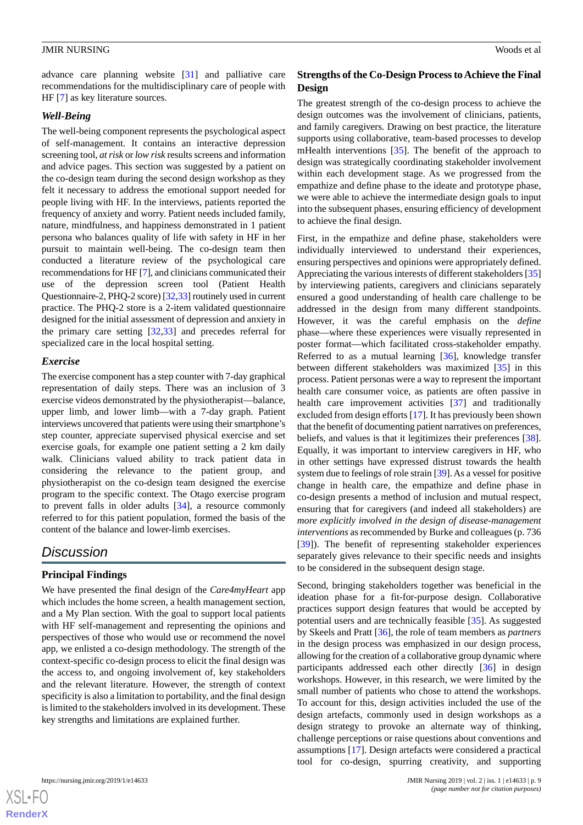advance care planning website [\[31](#page-11-7)] and palliative care recommendations for the multidisciplinary care of people with HF [\[7](#page-10-6)] as key literature sources.

#### *Well-Being*

The well-being component represents the psychological aspect of self-management. It contains an interactive depression screening tool, *at risk* or *low risk* results screens and information and advice pages. This section was suggested by a patient on the co-design team during the second design workshop as they felt it necessary to address the emotional support needed for people living with HF. In the interviews, patients reported the frequency of anxiety and worry. Patient needs included family, nature, mindfulness, and happiness demonstrated in 1 patient persona who balances quality of life with safety in HF in her pursuit to maintain well-being. The co-design team then conducted a literature review of the psychological care recommendations for HF [[7](#page-10-6)], and clinicians communicated their use of the depression screen tool (Patient Health Questionnaire-2, PHQ-2 score) [\[32](#page-11-8),[33\]](#page-11-9) routinely used in current practice. The PHQ-2 store is a 2-item validated questionnaire designed for the initial assessment of depression and anxiety in the primary care setting [\[32](#page-11-8),[33\]](#page-11-9) and precedes referral for specialized care in the local hospital setting.

#### *Exercise*

The exercise component has a step counter with 7-day graphical representation of daily steps. There was an inclusion of 3 exercise videos demonstrated by the physiotherapist—balance, upper limb, and lower limb—with a 7-day graph. Patient interviews uncovered that patients were using their smartphone's step counter, appreciate supervised physical exercise and set exercise goals, for example one patient setting a 2 km daily walk. Clinicians valued ability to track patient data in considering the relevance to the patient group, and physiotherapist on the co-design team designed the exercise program to the specific context. The Otago exercise program to prevent falls in older adults [[34\]](#page-11-10), a resource commonly referred to for this patient population, formed the basis of the content of the balance and lower-limb exercises.

## *Discussion*

#### **Principal Findings**

We have presented the final design of the *Care4myHeart* app which includes the home screen, a health management section, and a My Plan section. With the goal to support local patients with HF self-management and representing the opinions and perspectives of those who would use or recommend the novel app, we enlisted a co-design methodology. The strength of the context-specific co-design process to elicit the final design was the access to, and ongoing involvement of, key stakeholders and the relevant literature. However, the strength of context specificity is also a limitation to portability, and the final design is limited to the stakeholders involved in its development. These key strengths and limitations are explained further.

 $XS$  $\cdot$ FC **[RenderX](http://www.renderx.com/)**

#### **Strengths of the Co-Design Process to Achieve the Final Design**

The greatest strength of the co-design process to achieve the design outcomes was the involvement of clinicians, patients, and family caregivers. Drawing on best practice, the literature supports using collaborative, team-based processes to develop mHealth interventions [\[35](#page-11-11)]. The benefit of the approach to design was strategically coordinating stakeholder involvement within each development stage. As we progressed from the empathize and define phase to the ideate and prototype phase, we were able to achieve the intermediate design goals to input into the subsequent phases, ensuring efficiency of development to achieve the final design.

First, in the empathize and define phase, stakeholders were individually interviewed to understand their experiences, ensuring perspectives and opinions were appropriately defined. Appreciating the various interests of different stakeholders [\[35](#page-11-11)] by interviewing patients, caregivers and clinicians separately ensured a good understanding of health care challenge to be addressed in the design from many different standpoints. However, it was the careful emphasis on the *define* phase—where these experiences were visually represented in poster format—which facilitated cross-stakeholder empathy. Referred to as a mutual learning  $[36]$  $[36]$ , knowledge transfer between different stakeholders was maximized [[35\]](#page-11-11) in this process. Patient personas were a way to represent the important health care consumer voice, as patients are often passive in health care improvement activities [\[37](#page-11-13)] and traditionally excluded from design efforts [[17\]](#page-10-16). It has previously been shown that the benefit of documenting patient narratives on preferences, beliefs, and values is that it legitimizes their preferences [[38\]](#page-11-14). Equally, it was important to interview caregivers in HF, who in other settings have expressed distrust towards the health system due to feelings of role strain [\[39](#page-11-15)]. As a vessel for positive change in health care, the empathize and define phase in co-design presents a method of inclusion and mutual respect, ensuring that for caregivers (and indeed all stakeholders) are *more explicitly involved in the design of disease-management interventions* as recommended by Burke and colleagues (p. 736 [[39\]](#page-11-15)). The benefit of representing stakeholder experiences separately gives relevance to their specific needs and insights to be considered in the subsequent design stage.

Second, bringing stakeholders together was beneficial in the ideation phase for a fit-for-purpose design. Collaborative practices support design features that would be accepted by potential users and are technically feasible [\[35](#page-11-11)]. As suggested by Skeels and Pratt [[36\]](#page-11-12), the role of team members as *partners* in the design process was emphasized in our design process, allowing for the creation of a collaborative group dynamic where participants addressed each other directly [\[36](#page-11-12)] in design workshops. However, in this research, we were limited by the small number of patients who chose to attend the workshops. To account for this, design activities included the use of the design artefacts, commonly used in design workshops as a design strategy to provoke an alternate way of thinking, challenge perceptions or raise questions about conventions and assumptions [[17\]](#page-10-16). Design artefacts were considered a practical tool for co-design, spurring creativity, and supporting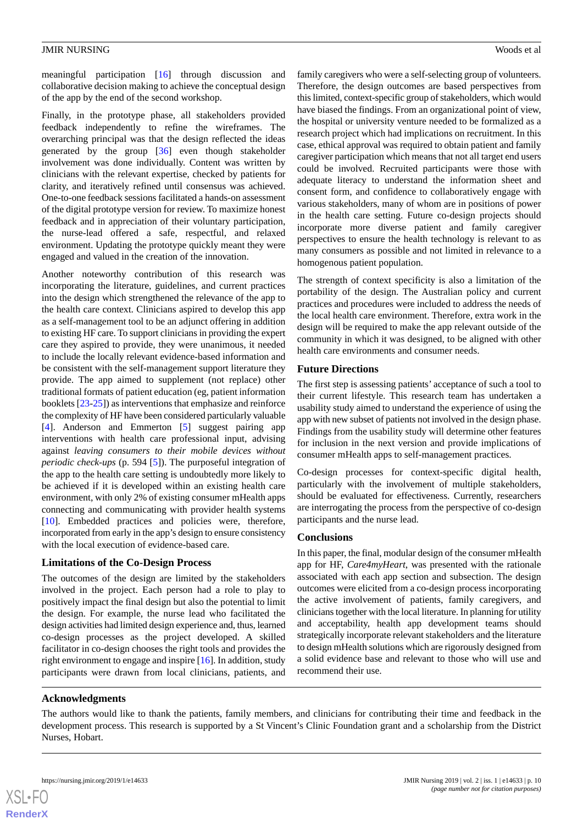meaningful participation [[16\]](#page-10-15) through discussion and collaborative decision making to achieve the conceptual design of the app by the end of the second workshop.

Finally, in the prototype phase, all stakeholders provided feedback independently to refine the wireframes. The overarching principal was that the design reflected the ideas generated by the group [\[36](#page-11-12)] even though stakeholder involvement was done individually. Content was written by clinicians with the relevant expertise, checked by patients for clarity, and iteratively refined until consensus was achieved. One-to-one feedback sessions facilitated a hands-on assessment of the digital prototype version for review. To maximize honest feedback and in appreciation of their voluntary participation, the nurse-lead offered a safe, respectful, and relaxed environment. Updating the prototype quickly meant they were engaged and valued in the creation of the innovation.

Another noteworthy contribution of this research was incorporating the literature, guidelines, and current practices into the design which strengthened the relevance of the app to the health care context. Clinicians aspired to develop this app as a self-management tool to be an adjunct offering in addition to existing HF care. To support clinicians in providing the expert care they aspired to provide, they were unanimous, it needed to include the locally relevant evidence-based information and be consistent with the self-management support literature they provide. The app aimed to supplement (not replace) other traditional formats of patient education (eg, patient information booklets [[23-](#page-10-22)[25](#page-11-0)]) as interventions that emphasize and reinforce the complexity of HF have been considered particularly valuable [[4\]](#page-10-3). Anderson and Emmerton [[5\]](#page-10-4) suggest pairing app interventions with health care professional input, advising against *leaving consumers to their mobile devices without periodic check-ups* (p. 594 [\[5](#page-10-4)]). The purposeful integration of the app to the health care setting is undoubtedly more likely to be achieved if it is developed within an existing health care environment, with only 2% of existing consumer mHealth apps connecting and communicating with provider health systems [[10\]](#page-10-9). Embedded practices and policies were, therefore, incorporated from early in the app's design to ensure consistency with the local execution of evidence-based care.

#### **Limitations of the Co-Design Process**

The outcomes of the design are limited by the stakeholders involved in the project. Each person had a role to play to positively impact the final design but also the potential to limit the design. For example, the nurse lead who facilitated the design activities had limited design experience and, thus, learned co-design processes as the project developed. A skilled facilitator in co-design chooses the right tools and provides the right environment to engage and inspire [[16\]](#page-10-15). In addition, study participants were drawn from local clinicians, patients, and

family caregivers who were a self-selecting group of volunteers. Therefore, the design outcomes are based perspectives from this limited, context-specific group of stakeholders, which would have biased the findings. From an organizational point of view, the hospital or university venture needed to be formalized as a research project which had implications on recruitment. In this case, ethical approval was required to obtain patient and family caregiver participation which means that not all target end users could be involved. Recruited participants were those with adequate literacy to understand the information sheet and consent form, and confidence to collaboratively engage with various stakeholders, many of whom are in positions of power in the health care setting. Future co-design projects should incorporate more diverse patient and family caregiver perspectives to ensure the health technology is relevant to as many consumers as possible and not limited in relevance to a homogenous patient population.

The strength of context specificity is also a limitation of the portability of the design. The Australian policy and current practices and procedures were included to address the needs of the local health care environment. Therefore, extra work in the design will be required to make the app relevant outside of the community in which it was designed, to be aligned with other health care environments and consumer needs.

## **Future Directions**

The first step is assessing patients' acceptance of such a tool to their current lifestyle. This research team has undertaken a usability study aimed to understand the experience of using the app with new subset of patients not involved in the design phase. Findings from the usability study will determine other features for inclusion in the next version and provide implications of consumer mHealth apps to self-management practices.

Co-design processes for context-specific digital health, particularly with the involvement of multiple stakeholders, should be evaluated for effectiveness. Currently, researchers are interrogating the process from the perspective of co-design participants and the nurse lead.

#### **Conclusions**

In this paper, the final, modular design of the consumer mHealth app for HF, *Care4myHeart*, was presented with the rationale associated with each app section and subsection. The design outcomes were elicited from a co-design process incorporating the active involvement of patients, family caregivers, and clinicians together with the local literature. In planning for utility and acceptability, health app development teams should strategically incorporate relevant stakeholders and the literature to design mHealth solutions which are rigorously designed from a solid evidence base and relevant to those who will use and recommend their use.

## **Acknowledgments**

The authors would like to thank the patients, family members, and clinicians for contributing their time and feedback in the development process. This research is supported by a St Vincent's Clinic Foundation grant and a scholarship from the District Nurses, Hobart.

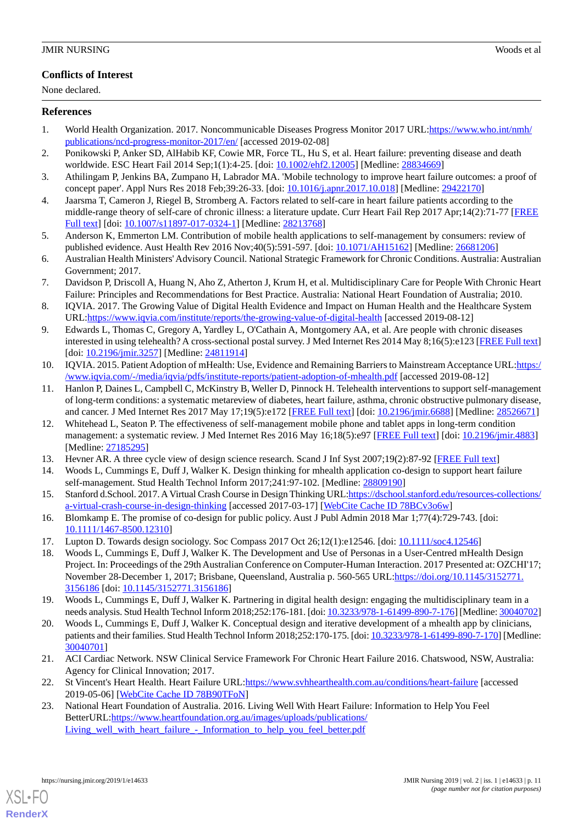### **Conflicts of Interest**

None declared.

#### <span id="page-10-0"></span>**References**

- <span id="page-10-1"></span>1. World Health Organization. 2017. Noncommunicable Diseases Progress Monitor 2017 URL[:https://www.who.int/nmh/](https://www.who.int/nmh/publications/ncd-progress-monitor-2017/en/) [publications/ncd-progress-monitor-2017/en/](https://www.who.int/nmh/publications/ncd-progress-monitor-2017/en/) [accessed 2019-02-08]
- <span id="page-10-2"></span>2. Ponikowski P, Anker SD, AlHabib KF, Cowie MR, Force TL, Hu S, et al. Heart failure: preventing disease and death worldwide. ESC Heart Fail 2014 Sep;1(1):4-25. [doi: [10.1002/ehf2.12005\]](http://dx.doi.org/10.1002/ehf2.12005) [Medline: [28834669](http://www.ncbi.nlm.nih.gov/entrez/query.fcgi?cmd=Retrieve&db=PubMed&list_uids=28834669&dopt=Abstract)]
- <span id="page-10-3"></span>3. Athilingam P, Jenkins BA, Zumpano H, Labrador MA. 'Mobile technology to improve heart failure outcomes: a proof of concept paper'. Appl Nurs Res 2018 Feb;39:26-33. [doi: [10.1016/j.apnr.2017.10.018\]](http://dx.doi.org/10.1016/j.apnr.2017.10.018) [Medline: [29422170](http://www.ncbi.nlm.nih.gov/entrez/query.fcgi?cmd=Retrieve&db=PubMed&list_uids=29422170&dopt=Abstract)]
- <span id="page-10-4"></span>4. Jaarsma T, Cameron J, Riegel B, Stromberg A. Factors related to self-care in heart failure patients according to the middle-range theory of self-care of chronic illness: a literature update. Curr Heart Fail Rep 2017 Apr;14(2):71-77 [\[FREE](http://europepmc.org/abstract/MED/28213768) [Full text\]](http://europepmc.org/abstract/MED/28213768) [doi: [10.1007/s11897-017-0324-1](http://dx.doi.org/10.1007/s11897-017-0324-1)] [Medline: [28213768](http://www.ncbi.nlm.nih.gov/entrez/query.fcgi?cmd=Retrieve&db=PubMed&list_uids=28213768&dopt=Abstract)]
- <span id="page-10-5"></span>5. Anderson K, Emmerton LM. Contribution of mobile health applications to self-management by consumers: review of published evidence. Aust Health Rev 2016 Nov;40(5):591-597. [doi: [10.1071/AH15162\]](http://dx.doi.org/10.1071/AH15162) [Medline: [26681206\]](http://www.ncbi.nlm.nih.gov/entrez/query.fcgi?cmd=Retrieve&db=PubMed&list_uids=26681206&dopt=Abstract)
- <span id="page-10-6"></span>6. Australian Health Ministers' Advisory Council. National Strategic Framework for Chronic Conditions. Australia: Australian Government; 2017.
- <span id="page-10-7"></span>7. Davidson P, Driscoll A, Huang N, Aho Z, Atherton J, Krum H, et al. Multidisciplinary Care for People With Chronic Heart Failure: Principles and Recommendations for Best Practice. Australia: National Heart Foundation of Australia; 2010.
- <span id="page-10-8"></span>8. IQVIA. 2017. The Growing Value of Digital Health Evidence and Impact on Human Health and the Healthcare System URL[:https://www.iqvia.com/institute/reports/the-growing-value-of-digital-health](https://www.iqvia.com/institute/reports/the-growing-value-of-digital-health) [accessed 2019-08-12]
- <span id="page-10-9"></span>9. Edwards L, Thomas C, Gregory A, Yardley L, O'Cathain A, Montgomery AA, et al. Are people with chronic diseases interested in using telehealth? A cross-sectional postal survey. J Med Internet Res 2014 May 8;16(5):e123 [[FREE Full text](https://www.jmir.org/2014/5/e123/)] [doi: [10.2196/jmir.3257\]](http://dx.doi.org/10.2196/jmir.3257) [Medline: [24811914\]](http://www.ncbi.nlm.nih.gov/entrez/query.fcgi?cmd=Retrieve&db=PubMed&list_uids=24811914&dopt=Abstract)
- <span id="page-10-10"></span>10. IQVIA. 2015. Patient Adoption of mHealth: Use, Evidence and Remaining Barriers to Mainstream Acceptance URL:[https:/](https://www.iqvia.com/-/media/iqvia/pdfs/institute-reports/patient-adoption-of-mhealth.pdf) [/www.iqvia.com/-/media/iqvia/pdfs/institute-reports/patient-adoption-of-mhealth.pdf](https://www.iqvia.com/-/media/iqvia/pdfs/institute-reports/patient-adoption-of-mhealth.pdf) [accessed 2019-08-12]
- <span id="page-10-11"></span>11. Hanlon P, Daines L, Campbell C, McKinstry B, Weller D, Pinnock H. Telehealth interventions to support self-management of long-term conditions: a systematic metareview of diabetes, heart failure, asthma, chronic obstructive pulmonary disease, and cancer. J Med Internet Res 2017 May 17;19(5):e172 [\[FREE Full text\]](https://www.jmir.org/2017/5/e172/) [doi: [10.2196/jmir.6688\]](http://dx.doi.org/10.2196/jmir.6688) [Medline: [28526671\]](http://www.ncbi.nlm.nih.gov/entrez/query.fcgi?cmd=Retrieve&db=PubMed&list_uids=28526671&dopt=Abstract)
- <span id="page-10-13"></span><span id="page-10-12"></span>12. Whitehead L, Seaton P. The effectiveness of self-management mobile phone and tablet apps in long-term condition management: a systematic review. J Med Internet Res 2016 May 16;18(5):e97 [[FREE Full text](https://www.jmir.org/2016/5/e97/)] [doi: [10.2196/jmir.4883](http://dx.doi.org/10.2196/jmir.4883)] [Medline: [27185295](http://www.ncbi.nlm.nih.gov/entrez/query.fcgi?cmd=Retrieve&db=PubMed&list_uids=27185295&dopt=Abstract)]
- <span id="page-10-14"></span>13. Hevner AR. A three cycle view of design science research. Scand J Inf Syst 2007;19(2):87-92 [[FREE Full text](http://aisel.aisnet.org/sjis/vol19/iss2/4)]
- <span id="page-10-15"></span>14. Woods L, Cummings E, Duff J, Walker K. Design thinking for mhealth application co-design to support heart failure self-management. Stud Health Technol Inform 2017;241:97-102. [Medline: [28809190\]](http://www.ncbi.nlm.nih.gov/entrez/query.fcgi?cmd=Retrieve&db=PubMed&list_uids=28809190&dopt=Abstract)
- <span id="page-10-17"></span><span id="page-10-16"></span>15. Stanford d.School. 2017. A Virtual Crash Course in Design Thinking URL[:https://dschool.stanford.edu/resources-collections/](https://dschool.stanford.edu/resources-collections/a-virtual-crash-course-in-design-thinking) [a-virtual-crash-course-in-design-thinking](https://dschool.stanford.edu/resources-collections/a-virtual-crash-course-in-design-thinking) [accessed 2017-03-17] [[WebCite Cache ID 78BCv3o6w\]](http://www.webcitation.org/
                                78BCv3o6w)
- 16. Blomkamp E. The promise of co-design for public policy. Aust J Publ Admin 2018 Mar 1;77(4):729-743. [doi: [10.1111/1467-8500.12310\]](http://dx.doi.org/10.1111/1467-8500.12310)
- <span id="page-10-18"></span>17. Lupton D. Towards design sociology. Soc Compass 2017 Oct 26;12(1):e12546. [doi: [10.1111/soc4.12546](http://dx.doi.org/10.1111/soc4.12546)]
- <span id="page-10-19"></span>18. Woods L, Cummings E, Duff J, Walker K. The Development and Use of Personas in a User-Centred mHealth Design Project. In: Proceedings of the 29th Australian Conference on Computer-Human Interaction. 2017 Presented at: OZCHI'17; November 28-December 1, 2017; Brisbane, Queensland, Australia p. 560-565 URL[:https://doi.org/10.1145/3152771.](https://doi.org/10.1145/3152771.3156186) [3156186](https://doi.org/10.1145/3152771.3156186) [doi: [10.1145/3152771.3156186](http://dx.doi.org/10.1145/3152771.3156186)]
- <span id="page-10-20"></span>19. Woods L, Cummings E, Duff J, Walker K. Partnering in digital health design: engaging the multidisciplinary team in a needs analysis. Stud Health Technol Inform 2018;252:176-181. [doi: [10.3233/978-1-61499-890-7-176](http://dx.doi.org/10.3233/978-1-61499-890-7-176)] [Medline: [30040702\]](http://www.ncbi.nlm.nih.gov/entrez/query.fcgi?cmd=Retrieve&db=PubMed&list_uids=30040702&dopt=Abstract)
- <span id="page-10-22"></span><span id="page-10-21"></span>20. Woods L, Cummings E, Duff J, Walker K. Conceptual design and iterative development of a mhealth app by clinicians, patients and their families. Stud Health Technol Inform 2018;252:170-175. [doi: [10.3233/978-1-61499-890-7-170\]](http://dx.doi.org/10.3233/978-1-61499-890-7-170) [Medline: [30040701](http://www.ncbi.nlm.nih.gov/entrez/query.fcgi?cmd=Retrieve&db=PubMed&list_uids=30040701&dopt=Abstract)]
- 21. ACI Cardiac Network. NSW Clinical Service Framework For Chronic Heart Failure 2016. Chatswood, NSW, Australia: Agency for Clinical Innovation; 2017.
- 22. St Vincent's Heart Health. Heart Failure URL:<https://www.svhhearthealth.com.au/conditions/heart-failure> [accessed 2019-05-06] [\[WebCite Cache ID 78B90TFoN](http://www.webcitation.org/
                                78B90TFoN)]
- 23. National Heart Foundation of Australia. 2016. Living Well With Heart Failure: Information to Help You Feel BetterURL:[https://www.heartfoundation.org.au/images/uploads/publications/](https://www.heartfoundation.org.au/images/uploads/publications/Living_well_with_heart_failure_-_Information_to_help_you_feel_better.pdf) Living well with heart failure - Information to help you feel better.pdf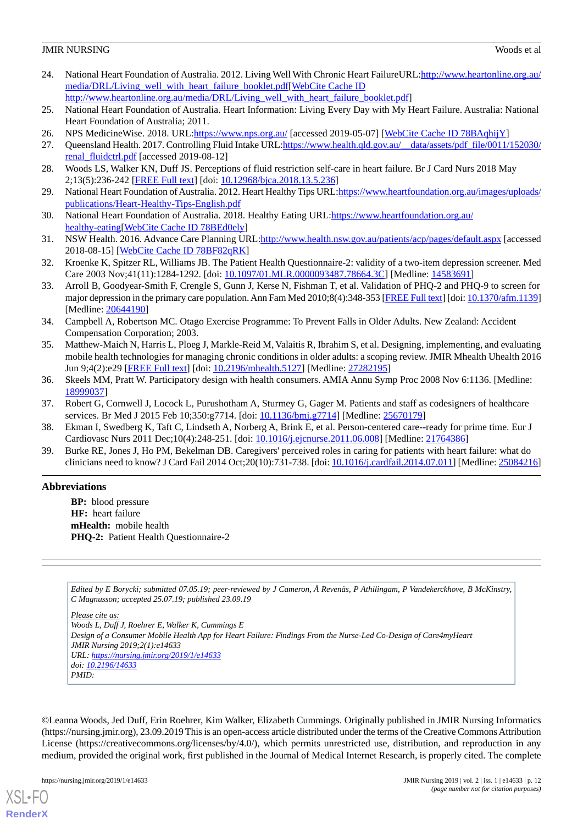- <span id="page-11-1"></span>24. National Heart Foundation of Australia. 2012. Living Well With Chronic Heart FailureURL:[http://www.heartonline.org.au/](http://www.heartonline.org.au/media/DRL/Living_well_with_heart_failure_booklet.pdf) [media/DRL/Living\\_well\\_with\\_heart\\_failure\\_booklet.pdf\[](http://www.heartonline.org.au/media/DRL/Living_well_with_heart_failure_booklet.pdf)[WebCite Cache ID](http://www.webcitation.org/
                                http://www.heartonline.org.au/media/DRL/Living_well_with_heart_failure_booklet.pdf)
- <span id="page-11-0"></span>http://www.heartonline.org.au/media/DRL/Living\_well\_with\_heart\_failure\_booklet.pdf
- <span id="page-11-2"></span>25. National Heart Foundation of Australia. Heart Information: Living Every Day with My Heart Failure. Australia: National Heart Foundation of Australia; 2011.
- <span id="page-11-3"></span>26. NPS MedicineWise. 2018. URL:*https://www.nps.org.au/* [accessed 2019-05-07] [[WebCite Cache ID 78BAqhijY\]](http://www.webcitation.org/
                                78BAqhijY)
- <span id="page-11-4"></span>27. Queensland Health. 2017. Controlling Fluid Intake URL[:https://www.health.qld.gov.au/\\_\\_data/assets/pdf\\_file/0011/152030/](https://www.health.qld.gov.au/__data/assets/pdf_file/0011/152030/renal_fluidctrl.pdf) [renal\\_fluidctrl.pdf](https://www.health.qld.gov.au/__data/assets/pdf_file/0011/152030/renal_fluidctrl.pdf) [accessed 2019-08-12]
- <span id="page-11-5"></span>28. Woods LS, Walker KN, Duff JS. Perceptions of fluid restriction self-care in heart failure. Br J Card Nurs 2018 May 2;13(5):236-242 [[FREE Full text](https://doi.org/10.12968/bjca.2018.13.5.236)] [doi: [10.12968/bjca.2018.13.5.236](http://dx.doi.org/10.12968/bjca.2018.13.5.236)]
- <span id="page-11-6"></span>29. National Heart Foundation of Australia. 2012. Heart Healthy Tips URL:[https://www.heartfoundation.org.au/images/uploads/](https://www.heartfoundation.org.au/images/uploads/publications/Heart-Healthy-Tips-English.pdf) [publications/Heart-Healthy-Tips-English.pdf](https://www.heartfoundation.org.au/images/uploads/publications/Heart-Healthy-Tips-English.pdf)
- <span id="page-11-7"></span>30. National Heart Foundation of Australia. 2018. Healthy Eating URL[:https://www.heartfoundation.org.au/](https://www.heartfoundation.org.au/healthy-eating) healthy-eating [[WebCite Cache ID 78BEd0ely\]](http://www.webcitation.org/
                                78BEd0ely)
- <span id="page-11-8"></span>31. NSW Health. 2016. Advance Care Planning URL[:http://www.health.nsw.gov.au/patients/acp/pages/default.aspx](http://www.health.nsw.gov.au/patients/acp/pages/default.aspx) [accessed 2018-08-15] [\[WebCite Cache ID 78BF82qRK](http://www.webcitation.org/
                                78BF82qRK)]
- <span id="page-11-9"></span>32. Kroenke K, Spitzer RL, Williams JB. The Patient Health Questionnaire-2: validity of a two-item depression screener. Med Care 2003 Nov;41(11):1284-1292. [doi: [10.1097/01.MLR.0000093487.78664.3C](http://dx.doi.org/10.1097/01.MLR.0000093487.78664.3C)] [Medline: [14583691\]](http://www.ncbi.nlm.nih.gov/entrez/query.fcgi?cmd=Retrieve&db=PubMed&list_uids=14583691&dopt=Abstract)
- <span id="page-11-10"></span>33. Arroll B, Goodyear-Smith F, Crengle S, Gunn J, Kerse N, Fishman T, et al. Validation of PHQ-2 and PHQ-9 to screen for major depression in the primary care population. Ann Fam Med 2010;8(4):348-353 [[FREE Full text\]](http://www.annfammed.org/cgi/pmidlookup?view=long&pmid=20644190) [doi: [10.1370/afm.1139\]](http://dx.doi.org/10.1370/afm.1139) [Medline: [20644190](http://www.ncbi.nlm.nih.gov/entrez/query.fcgi?cmd=Retrieve&db=PubMed&list_uids=20644190&dopt=Abstract)]
- <span id="page-11-11"></span>34. Campbell A, Robertson MC. Otago Exercise Programme: To Prevent Falls in Older Adults. New Zealand: Accident Compensation Corporation; 2003.
- <span id="page-11-12"></span>35. Matthew-Maich N, Harris L, Ploeg J, Markle-Reid M, Valaitis R, Ibrahim S, et al. Designing, implementing, and evaluating mobile health technologies for managing chronic conditions in older adults: a scoping review. JMIR Mhealth Uhealth 2016 Jun 9;4(2):e29 [\[FREE Full text\]](https://mhealth.jmir.org/2016/2/e29/) [doi: [10.2196/mhealth.5127](http://dx.doi.org/10.2196/mhealth.5127)] [Medline: [27282195\]](http://www.ncbi.nlm.nih.gov/entrez/query.fcgi?cmd=Retrieve&db=PubMed&list_uids=27282195&dopt=Abstract)
- <span id="page-11-14"></span><span id="page-11-13"></span>36. Skeels MM, Pratt W. Participatory design with health consumers. AMIA Annu Symp Proc 2008 Nov 6:1136. [Medline: [18999037](http://www.ncbi.nlm.nih.gov/entrez/query.fcgi?cmd=Retrieve&db=PubMed&list_uids=18999037&dopt=Abstract)]
- <span id="page-11-15"></span>37. Robert G, Cornwell J, Locock L, Purushotham A, Sturmey G, Gager M. Patients and staff as codesigners of healthcare services. Br Med J 2015 Feb 10;350:g7714. [doi: [10.1136/bmj.g7714\]](http://dx.doi.org/10.1136/bmj.g7714) [Medline: [25670179\]](http://www.ncbi.nlm.nih.gov/entrez/query.fcgi?cmd=Retrieve&db=PubMed&list_uids=25670179&dopt=Abstract)
- 38. Ekman I, Swedberg K, Taft C, Lindseth A, Norberg A, Brink E, et al. Person-centered care--ready for prime time. Eur J Cardiovasc Nurs 2011 Dec;10(4):248-251. [doi: [10.1016/j.ejcnurse.2011.06.008\]](http://dx.doi.org/10.1016/j.ejcnurse.2011.06.008) [Medline: [21764386](http://www.ncbi.nlm.nih.gov/entrez/query.fcgi?cmd=Retrieve&db=PubMed&list_uids=21764386&dopt=Abstract)]
- 39. Burke RE, Jones J, Ho PM, Bekelman DB. Caregivers' perceived roles in caring for patients with heart failure: what do clinicians need to know? J Card Fail 2014 Oct;20(10):731-738. [doi: [10.1016/j.cardfail.2014.07.011](http://dx.doi.org/10.1016/j.cardfail.2014.07.011)] [Medline: [25084216](http://www.ncbi.nlm.nih.gov/entrez/query.fcgi?cmd=Retrieve&db=PubMed&list_uids=25084216&dopt=Abstract)]

## **Abbreviations**

**BP:** blood pressure **HF:** heart failure **mHealth:** mobile health **PHQ-2:** Patient Health Questionnaire-2

*Edited by E Borycki; submitted 07.05.19; peer-reviewed by J Cameron, Å Revenäs, P Athilingam, P Vandekerckhove, B McKinstry, C Magnusson; accepted 25.07.19; published 23.09.19*

*Please cite as:*

*Woods L, Duff J, Roehrer E, Walker K, Cummings E Design of a Consumer Mobile Health App for Heart Failure: Findings From the Nurse-Led Co-Design of Care4myHeart JMIR Nursing 2019;2(1):e14633 URL: <https://nursing.jmir.org/2019/1/e14633> doi: [10.2196/14633](http://dx.doi.org/10.2196/14633) PMID:*

©Leanna Woods, Jed Duff, Erin Roehrer, Kim Walker, Elizabeth Cummings. Originally published in JMIR Nursing Informatics (https://nursing.jmir.org), 23.09.2019 This is an open-access article distributed under the terms of the Creative Commons Attribution License (https://creativecommons.org/licenses/by/4.0/), which permits unrestricted use, distribution, and reproduction in any medium, provided the original work, first published in the Journal of Medical Internet Research, is properly cited. The complete